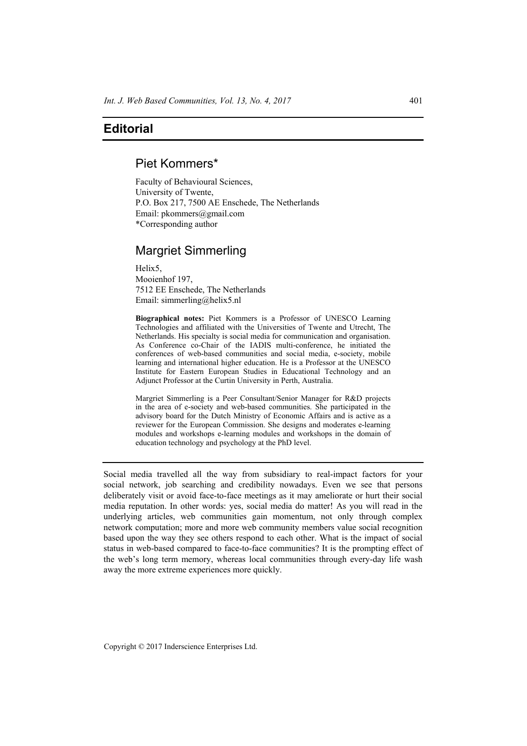### **Editorial**

# Piet Kommers\*

Faculty of Behavioural Sciences, University of Twente, P.O. Box 217, 7500 AE Enschede, The Netherlands Email: pkommers@gmail.com \*Corresponding author

# Margriet Simmerling

Helix5, Mooienhof 197, 7512 EE Enschede, The Netherlands Email: simmerling@helix5.nl

**Biographical notes:** Piet Kommers is a Professor of UNESCO Learning Technologies and affiliated with the Universities of Twente and Utrecht, The Netherlands. His specialty is social media for communication and organisation. As Conference co-Chair of the IADIS multi-conference, he initiated the conferences of web-based communities and social media, e-society, mobile learning and international higher education. He is a Professor at the UNESCO Institute for Eastern European Studies in Educational Technology and an Adjunct Professor at the Curtin University in Perth, Australia.

Margriet Simmerling is a Peer Consultant/Senior Manager for R&D projects in the area of e-society and web-based communities. She participated in the advisory board for the Dutch Ministry of Economic Affairs and is active as a reviewer for the European Commission. She designs and moderates e-learning modules and workshops e-learning modules and workshops in the domain of education technology and psychology at the PhD level.

Social media travelled all the way from subsidiary to real-impact factors for your social network, job searching and credibility nowadays. Even we see that persons deliberately visit or avoid face-to-face meetings as it may ameliorate or hurt their social media reputation. In other words: yes, social media do matter! As you will read in the underlying articles, web communities gain momentum, not only through complex network computation; more and more web community members value social recognition based upon the way they see others respond to each other. What is the impact of social status in web-based compared to face-to-face communities? It is the prompting effect of the web's long term memory, whereas local communities through every-day life wash away the more extreme experiences more quickly.

Copyright © 2017 Inderscience Enterprises Ltd.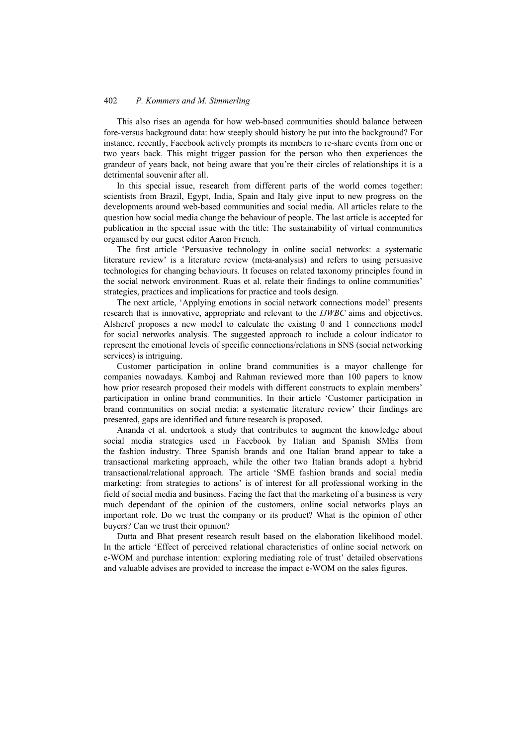#### 402 *P. Kommers and M. Simmerling*

This also rises an agenda for how web-based communities should balance between fore-versus background data: how steeply should history be put into the background? For instance, recently, Facebook actively prompts its members to re-share events from one or two years back. This might trigger passion for the person who then experiences the grandeur of years back, not being aware that you're their circles of relationships it is a detrimental souvenir after all.

In this special issue, research from different parts of the world comes together: scientists from Brazil, Egypt, India, Spain and Italy give input to new progress on the developments around web-based communities and social media. All articles relate to the question how social media change the behaviour of people. The last article is accepted for publication in the special issue with the title: The sustainability of virtual communities organised by our guest editor Aaron French.

The first article 'Persuasive technology in online social networks: a systematic literature review' is a literature review (meta-analysis) and refers to using persuasive technologies for changing behaviours. It focuses on related taxonomy principles found in the social network environment. Ruas et al. relate their findings to online communities' strategies, practices and implications for practice and tools design.

The next article, 'Applying emotions in social network connections model' presents research that is innovative, appropriate and relevant to the *IJWBC* aims and objectives. Alsheref proposes a new model to calculate the existing 0 and 1 connections model for social networks analysis. The suggested approach to include a colour indicator to represent the emotional levels of specific connections/relations in SNS (social networking services) is intriguing.

Customer participation in online brand communities is a mayor challenge for companies nowadays. Kamboj and Rahman reviewed more than 100 papers to know how prior research proposed their models with different constructs to explain members' participation in online brand communities. In their article 'Customer participation in brand communities on social media: a systematic literature review' their findings are presented, gaps are identified and future research is proposed.

Ananda et al. undertook a study that contributes to augment the knowledge about social media strategies used in Facebook by Italian and Spanish SMEs from the fashion industry. Three Spanish brands and one Italian brand appear to take a transactional marketing approach, while the other two Italian brands adopt a hybrid transactional/relational approach. The article 'SME fashion brands and social media marketing: from strategies to actions' is of interest for all professional working in the field of social media and business. Facing the fact that the marketing of a business is very much dependant of the opinion of the customers, online social networks plays an important role. Do we trust the company or its product? What is the opinion of other buyers? Can we trust their opinion?

Dutta and Bhat present research result based on the elaboration likelihood model. In the article 'Effect of perceived relational characteristics of online social network on e-WOM and purchase intention: exploring mediating role of trust' detailed observations and valuable advises are provided to increase the impact e-WOM on the sales figures.